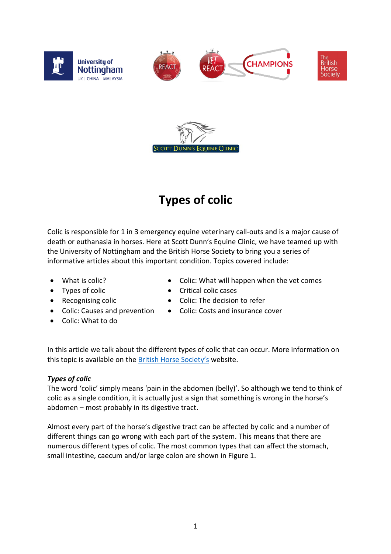



## **Types of colic**

Colic is responsible for 1 in 3 emergency equine veterinary call-outs and is a major cause of death or euthanasia in horses. Here at Scott Dunn's Equine Clinic, we have teamed up with the University of Nottingham and the British Horse Society to bring you a series of informative articles about this important condition. Topics covered include:

- What is colic?
- Types of colic
- Recognising colic
- Colic: Causes and prevention
- Colic: What to do
- Colic: What will happen when the vet comes
- Critical colic cases
- Colic: The decision to refer
- Colic: Costs and insurance cover

In this article we talk about the different types of colic that can occur. More information on this topic is available on the [British Horse Society's](https://www.bhs.org.uk/our-work/welfare/our-campaigns/react/further-colic-information) website.

## *Types of colic*

The word 'colic' simply means 'pain in the abdomen (belly)'. So although we tend to think of colic as a single condition, it is actually just a sign that something is wrong in the horse's abdomen – most probably in its digestive tract.

Almost every part of the horse's digestive tract can be affected by colic and a number of different things can go wrong with each part of the system. This means that there are numerous different types of colic. The most common types that can affect the stomach, small intestine, caecum and/or large colon are shown in Figure 1.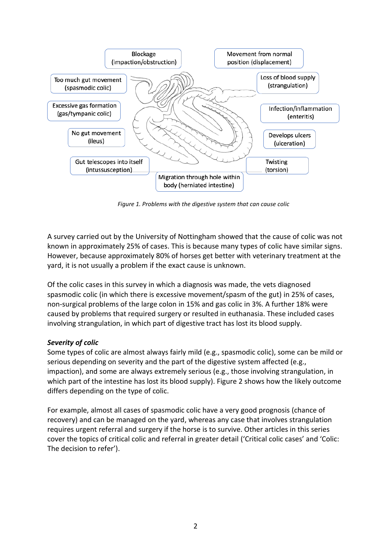

*Figure 1. Problems with the digestive system that can cause colic*

A survey carried out by the University of Nottingham showed that the cause of colic was not known in approximately 25% of cases. This is because many types of colic have similar signs. However, because approximately 80% of horses get better with veterinary treatment at the yard, it is not usually a problem if the exact cause is unknown.

Of the colic cases in this survey in which a diagnosis was made, the vets diagnosed spasmodic colic (in which there is excessive movement/spasm of the gut) in 25% of cases, non-surgical problems of the large colon in 15% and gas colic in 3%. A further 18% were caused by problems that required surgery or resulted in euthanasia. These included cases involving strangulation, in which part of digestive tract has lost its blood supply.

## *Severity of colic*

Some types of colic are almost always fairly mild (e.g., spasmodic colic), some can be mild or serious depending on severity and the part of the digestive system affected (e.g., impaction), and some are always extremely serious (e.g., those involving strangulation, in which part of the intestine has lost its blood supply). Figure 2 shows how the likely outcome differs depending on the type of colic.

For example, almost all cases of spasmodic colic have a very good prognosis (chance of recovery) and can be managed on the yard, whereas any case that involves strangulation requires urgent referral and surgery if the horse is to survive. Other articles in this series cover the topics of critical colic and referral in greater detail ('Critical colic cases' and 'Colic: The decision to refer').